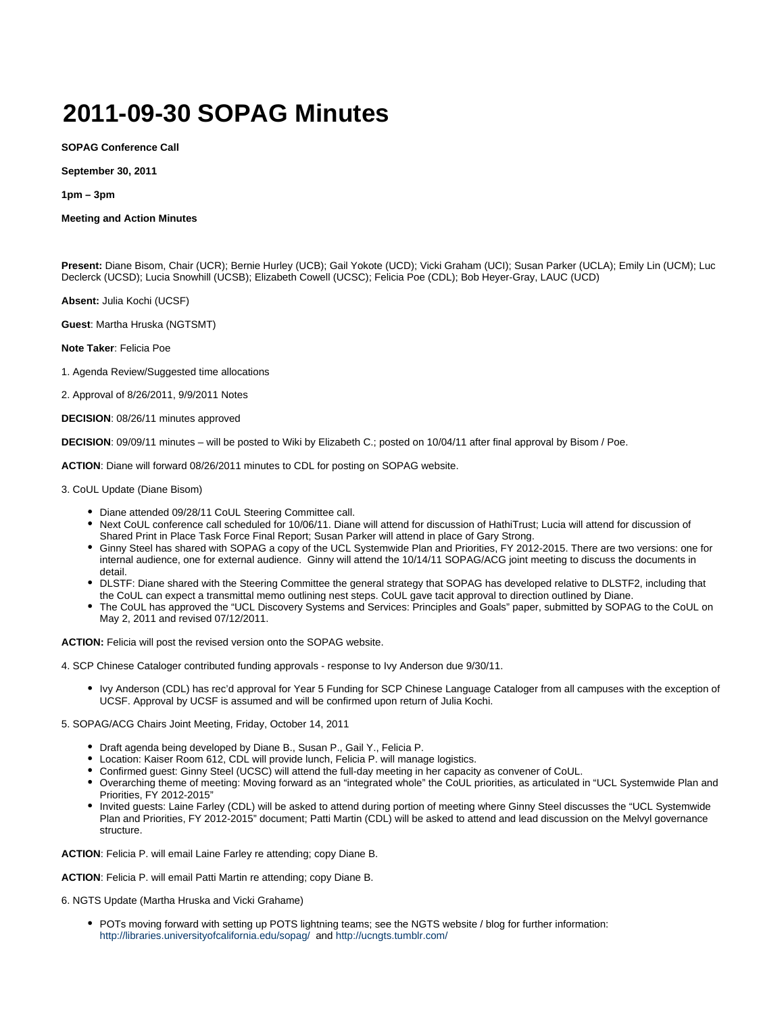## **2011-09-30 SOPAG Minutes**

**SOPAG Conference Call**

**September 30, 2011**

**1pm – 3pm**

## **Meeting and Action Minutes**

**Present:** Diane Bisom, Chair (UCR); Bernie Hurley (UCB); Gail Yokote (UCD); Vicki Graham (UCI); Susan Parker (UCLA); Emily Lin (UCM); Luc Declerck (UCSD); Lucia Snowhill (UCSB); Elizabeth Cowell (UCSC); Felicia Poe (CDL); Bob Heyer-Gray, LAUC (UCD)

**Absent:** Julia Kochi (UCSF)

**Guest**: Martha Hruska (NGTSMT)

**Note Taker**: Felicia Poe

1. Agenda Review/Suggested time allocations

2. Approval of 8/26/2011, 9/9/2011 Notes

**DECISION**: 08/26/11 minutes approved

**DECISION**: 09/09/11 minutes – will be posted to Wiki by Elizabeth C.; posted on 10/04/11 after final approval by Bisom / Poe.

**ACTION**: Diane will forward 08/26/2011 minutes to CDL for posting on SOPAG website.

3. CoUL Update (Diane Bisom)

- Diane attended 09/28/11 CoUL Steering Committee call.
- Next CoUL conference call scheduled for 10/06/11. Diane will attend for discussion of HathiTrust; Lucia will attend for discussion of Shared Print in Place Task Force Final Report; Susan Parker will attend in place of Gary Strong.
- Ginny Steel has shared with SOPAG a copy of the UCL Systemwide Plan and Priorities, FY 2012-2015. There are two versions: one for internal audience, one for external audience. Ginny will attend the 10/14/11 SOPAG/ACG joint meeting to discuss the documents in detail.
- DLSTF: Diane shared with the Steering Committee the general strategy that SOPAG has developed relative to DLSTF2, including that the CoUL can expect a transmittal memo outlining nest steps. CoUL gave tacit approval to direction outlined by Diane.
- The CoUL has approved the "UCL Discovery Systems and Services: Principles and Goals" paper, submitted by SOPAG to the CoUL on May 2, 2011 and revised 07/12/2011.

**ACTION:** Felicia will post the revised version onto the SOPAG website.

4. SCP Chinese Cataloger contributed funding approvals - response to Ivy Anderson due 9/30/11.

• Ivy Anderson (CDL) has rec'd approval for Year 5 Funding for SCP Chinese Language Cataloger from all campuses with the exception of UCSF. Approval by UCSF is assumed and will be confirmed upon return of Julia Kochi.

5. SOPAG/ACG Chairs Joint Meeting, Friday, October 14, 2011

- Draft agenda being developed by Diane B., Susan P., Gail Y., Felicia P.
- Location: Kaiser Room 612, CDL will provide lunch, Felicia P. will manage logistics.
- Confirmed guest: Ginny Steel (UCSC) will attend the full-day meeting in her capacity as convener of CoUL.
- Overarching theme of meeting: Moving forward as an "integrated whole" the CoUL priorities, as articulated in "UCL Systemwide Plan and Priorities, FY 2012-2015"
- Invited guests: Laine Farley (CDL) will be asked to attend during portion of meeting where Ginny Steel discusses the "UCL Systemwide Plan and Priorities, FY 2012-2015" document; Patti Martin (CDL) will be asked to attend and lead discussion on the Melvyl governance structure.

**ACTION**: Felicia P. will email Laine Farley re attending; copy Diane B.

**ACTION**: Felicia P. will email Patti Martin re attending; copy Diane B.

6. NGTS Update (Martha Hruska and Vicki Grahame)

POTs moving forward with setting up POTS lightning teams; see the NGTS website / blog for further information: <http://libraries.universityofcalifornia.edu/sopag/> and<http://ucngts.tumblr.com/>